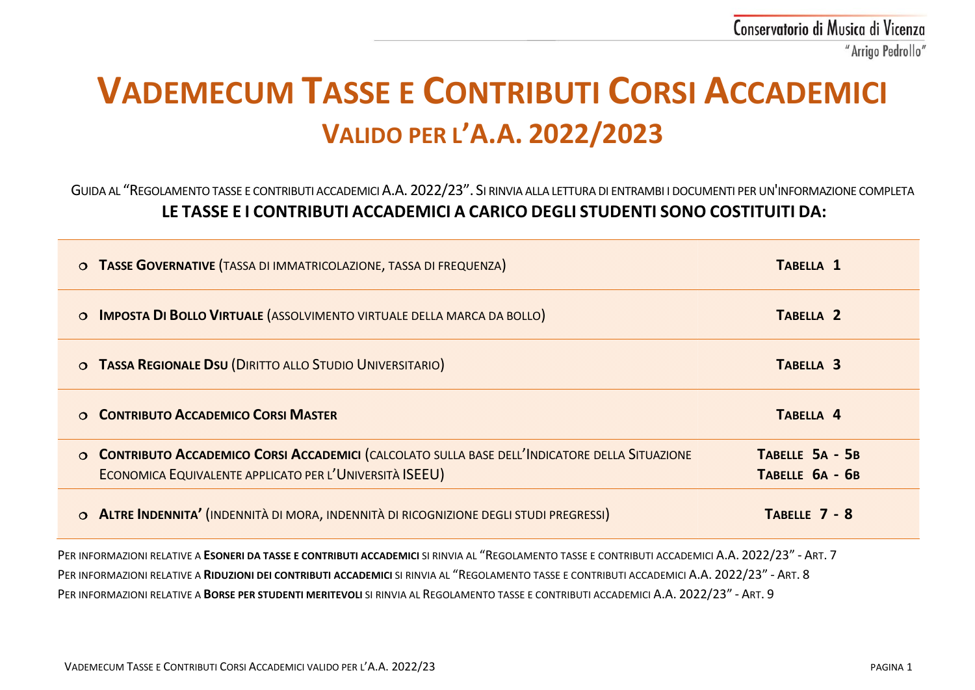# **VADEMECUM TASSE E CONTRIBUTI CORSI ACCADEMICI VALIDO PER L'A.A. 2022/2023**

## GUIDA AL "REGOLAMENTO TASSE E CONTRIBUTI ACCADEMICI A.A. 2022/23". SI RINVIA ALLA LETTURA DI ENTRAMBI I DOCUMENTI PER UN'INFORMAZIONE COMPLETA **LE TASSE E I CONTRIBUTI ACCADEMICI A CARICO DEGLI STUDENTI SONO COSTITUITI DA:**

| O TASSE GOVERNATIVE (TASSA DI IMMATRICOLAZIONE, TASSA DI FREQUENZA)                                                                                        | TABELLA <sub>1</sub>               |
|------------------------------------------------------------------------------------------------------------------------------------------------------------|------------------------------------|
| <b>IMPOSTA DI BOLLO VIRTUALE (ASSOLVIMENTO VIRTUALE DELLA MARCA DA BOLLO)</b><br>$\circ$                                                                   | TABELLA <sub>2</sub>               |
| O TASSA REGIONALE DSU (DIRITTO ALLO STUDIO UNIVERSITARIO)                                                                                                  | TABELLA <sub>3</sub>               |
| O CONTRIBUTO ACCADEMICO CORSI MASTER                                                                                                                       | TABELLA 4                          |
| O CONTRIBUTO ACCADEMICO CORSI ACCADEMICI (CALCOLATO SULLA BASE DELL'INDICATORE DELLA SITUAZIONE<br>ECONOMICA EQUIVALENTE APPLICATO PER L'UNIVERSITÀ ISEEU) | TABELLE 5A - 5B<br>TABELLE 6A - 6B |
| O ALTRE INDENNITA' (INDENNITÀ DI MORA, INDENNITÀ DI RICOGNIZIONE DEGLI STUDI PREGRESSI)                                                                    | TABELLE 7 - 8                      |
| PER INFORMAZIONI RELATIVE A ESONERI DA TASSE E CONTRIBUTI ACCADEMICI SI RINVIA AL "REGOLAMENTO TASSE E CONTRIBUTI ACCADEMICI A.A. 2022/23" - ART. 7        |                                    |

PER INFORMAZIONI RELATIVE A **RIDUZIONI DEI CONTRIBUTI ACCADEMICI** SI RINVIA AL "REGOLAMENTO TASSE E CONTRIBUTI ACCADEMICI A.A. 2022/23" - ART. 8

PER INFORMAZIONI RELATIVE A **BORSE PER STUDENTI MERITEVOLI** SI RINVIA AL REGOLAMENTO TASSE E CONTRIBUTI ACCADEMICI A.A. 2022/23" - ART. 9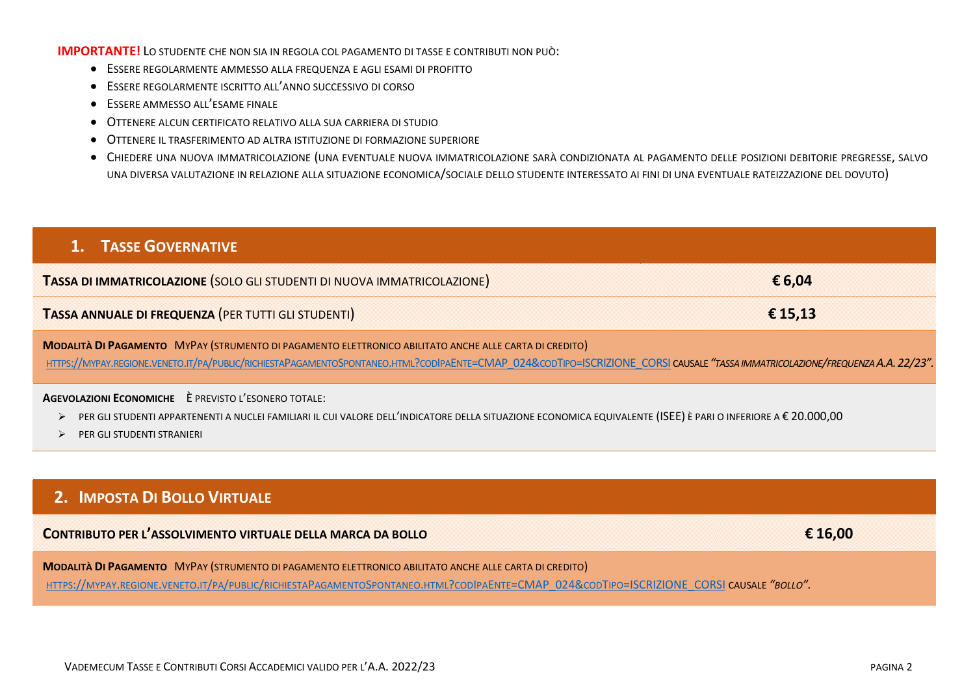#### **IMPORTANTE!** LO STUDENTE CHE NON SIA IN REGOLA COL PAGAMENTO DI TASSE E CONTRIBUTI NON PUÒ:

- ESSERE REGOLARMENTE AMMESSO ALLA FREQUENZA E AGLI ESAMI DI PROFITTO
- ESSERE REGOLARMENTE ISCRITTO ALL'ANNO SUCCESSIVO DI CORSO
- ESSERE AMMESSO ALL'ESAME FINALE
- OTTENERE ALCUN CERTIFICATO RELATIVO ALLA SUA CARRIERA DI STUDIO
- OTTENERE IL TRASFERIMENTO AD ALTRA ISTITUZIONE DI FORMAZIONE SUPERIORE
- · CHIEDERE UNA NUOVA IMMATRICOLAZIONE (UNA EVENTUALE NUOVA IMMATRICOLAZIONE SARÀ CONDIZIONATA AL PAGAMENTO DELLE POSIZIONI DEBITORIE PREGRESSE, SALVO UNA DIVERSA VALUTAZIONE IN RELAZIONE ALLA SITUAZIONE ECONOMICA/SOCIALE DELLO STUDENTE INTERESSATO AI FINI DI UNA EVENTUALE RATEIZZAZIONE DEL DOVUTO)

| <b>1. TASSE GOVERNATIVE</b>                                                                                                                                                                                                                                                              |         |
|------------------------------------------------------------------------------------------------------------------------------------------------------------------------------------------------------------------------------------------------------------------------------------------|---------|
| TASSA DI IMMATRICOLAZIONE (SOLO GLI STUDENTI DI NUOVA IMMATRICOLAZIONE)                                                                                                                                                                                                                  | €6,04   |
| TASSA ANNUALE DI FREQUENZA (PER TUTTI GLI STUDENTI)                                                                                                                                                                                                                                      | € 15,13 |
| MODALITÀ DI PAGAMENTO MYPAY (STRUMENTO DI PAGAMENTO ELETTRONICO ABILITATO ANCHE ALLE CARTA DI CREDITO)<br>HTTPS://MYPAY.REGIONE.VENETO.IT/PA/PUBLIC/RICHIESTAPAGAMENTOSPONTANEO.HTML?CODIPAENTE=CMAP 024&CODTIPO=ISCRIZIONE CORSI CAUSALE "TASSA IMMATRICOLAZIONE/FREQUENZA A.A. 22/23". |         |
| AGEVOLAZIONI ECONOMICHE È PREVISTO L'ESONERO TOTALE:<br>PER GLI STUDENTI APPARTENENTI A NUCLEI FAMILIARI IL CUI VALORE DELL'INDICATORE DELLA SITUAZIONE ECONOMICA EQUIVALENTE (ISEE) È PARI O INFERIORE A € 20.000,00<br>PER GLI STUDENTI STRANIERI                                      |         |
|                                                                                                                                                                                                                                                                                          |         |
| 2. IMPOSTA DI BOLLO VIRTUALE                                                                                                                                                                                                                                                             |         |

| CONTRIBUTO PER L'ASSOLVIMENTO VIRTUALE DELLA MARCA DA BOLLO                                                                               | $\epsilon$ 16,00 |
|-------------------------------------------------------------------------------------------------------------------------------------------|------------------|
| <b>MODALITÀ DI PAGAMENTO MYPAY (STRUMENTO DI PAGAMENTO ELETTRONICO ABILITATO ANCHE ALLE CARTA DI CREDITO)</b>                             |                  |
| LITTDC://ANDAV DECIONE VENETO IT/DA/DURUC/DICHIESTADACAMENTOSDONTANEO HTML?CODIDAENTE-CNAD 0248.CODTIDO-ISCRIZIONE CORSI CALISALE "ROLLO" |                  |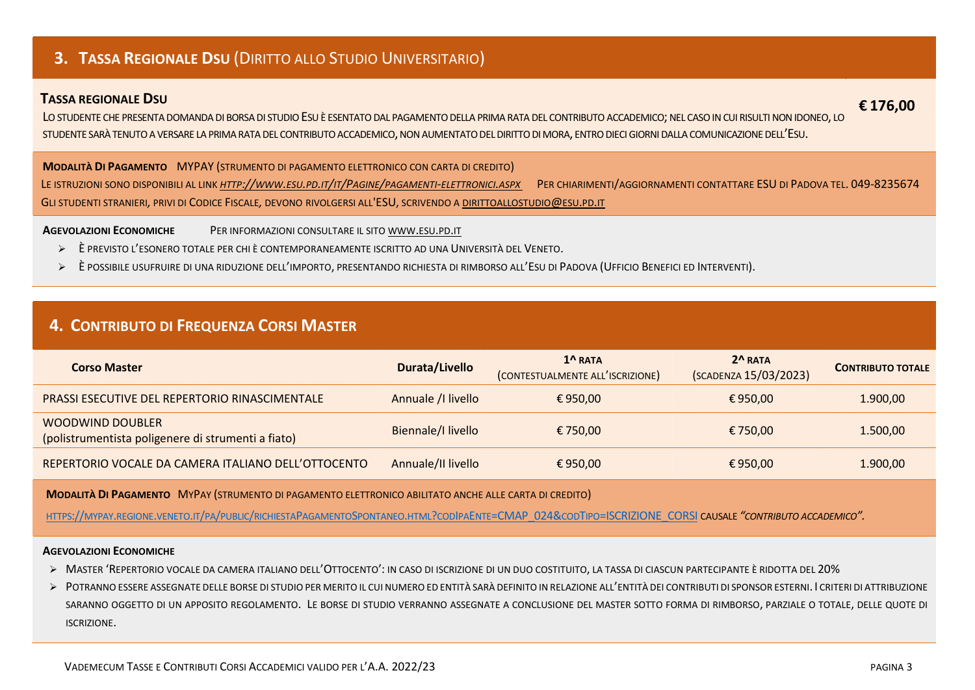## 3. TASSA REGIONALE DSU (DIRITTO ALLO STUDIO UNIVERSITARIO)

### **TASSA REGIONALE DSU**

LO STUDENTE CHE PRESENTA DOMANDA DI BORSA DI STUDIO ESU È ESENTATO DAL PAGAMENTO DELLA PRIMA RATA DEL CONTRIBUTO ACCADEMICO; NEL CASO IN CUI RISULTI NON IDONEO, LO STUDENTE SARÀ TENUTO A VERSARE LA PRIMA RATA DEL CONTRIBUTO ACCADEMICO, NON AUMENTATO DEL DIRITTO DI MORA, ENTRO DIECI GIORNI DALLA COMUNICAZIONE DELL'ESU.

**MODALITÀ DI PAGAMENTO MYPAY (STRUMENTO DI PAGAMENTO ELETTRONICO CON CARTA DI CREDITO)** 

LE ISTRUZIONI SONO DISPONIBILI AL LINK HTTP://WWW.ESU.PD.IT/IT/PAGINE/PAGAMENTI-ELETTRONICI.ASPX PER CHIARIMENTI/AGGIORNAMENTI CONTATTARE ESU DI PADOVA TEL. 049-8235674 GLI STUDENTI STRANIERI, PRIVI DI CODICE FISCALE, DEVONO RIVOLGERSI ALL'ESU, SCRIVENDO A DIRITTOALLOSTUDIO@ESU.PD.IT

**AGEVOLAZIONI ECONOMICHE** PER INFORMAZIONI CONSULTARE IL SITO WWW.ESU.PD.IT

- E PREVISTO L'ESONERO TOTALE PER CHI È CONTEMPORANEAMENTE ISCRITTO AD UNA UNIVERSITÀ DEL VENETO.
- È possibile usufruire di una riduzione dell'importo, presentando richiesta di rimborso all'Esu di Padova (Ufficio Benefici ed Interventi).  $\blacktriangleright$

## 4. CONTRIBUTO DI FREQUENZA CORSI MASTER

| Corso Master                                                                  | Durata/Livello     | $1^{\Lambda}$ RATA<br>(CONTESTUALMENTE ALL'ISCRIZIONE) | $2^R$ RATA<br>(SCADENZA 15/03/2023) | <b>CONTRIBUTO TOTALE</b> |
|-------------------------------------------------------------------------------|--------------------|--------------------------------------------------------|-------------------------------------|--------------------------|
| <b>PRASSI ESECUTIVE DEL REPERTORIO RINASCIMENTALE</b>                         | Annuale / Ilivello | € 950.00                                               | € 950.00                            | 1.900,00                 |
| <b>WOODWIND DOUBLER</b><br>(polistrumentista poligenere di strumenti a fiato) | Biennale/I livello | € 750.00                                               | € 750.00                            | 1.500,00                 |
| REPERTORIO VOCALE DA CAMERA ITALIANO DELL'OTTOCENTO                           | Annuale/II livello | € 950.00                                               | € 950,00                            | 1.900,00                 |

MODALITÀ DI PAGAMENTO MYPAY (STRUMENTO DI PAGAMENTO ELETTRONICO ABILITATO ANCHE ALLE CARTA DI CREDITO)

HTTPS://MYPAY.REGIONE.VENETO.IT/PA/PUBLIC/RICHIESTAPAGAMENTOSPONTANEO.HTML?CODIPAENTE=CMAP 024&CODTIPO=ISCRIZIONE CORSI CAUSALE "CONTRIBUTO ACCADEMICO".

#### **AGEVOLAZIONI ECONOMICHE**

- > MASTER 'REPERTORIO VOCALE DA CAMERA ITALIANO DELL'OTTOCENTO': IN CASO DI ISCRIZIONE DI UN DUO COSTITUITO, LA TASSA DI CIASCUN PARTECIPANTE È RIDOTTA DEL 20%
- > POTRANNO ESSERE ASSEGNATE DELLE BORSE DI STUDIO PER MERITO IL CUI NUMERO ED ENTITÀ SARÀ DEFINITO IN RELAZIONE ALL'ENTITÀ DEI CONTRIBUTI DI SPONSOR ESTERNI. I CRITERI DI ATTRIBUZIONE SARANNO OGGETTO DI UN APPOSITO REGOLAMENTO. LE BORSE DI STUDIO VERRANNO ASSEGNATE A CONCLUSIONE DEL MASTER SOTTO FORMA DI RIMBORSO, PARZIALE O TOTALE, DELLE QUOTE DI ISCRIZIONE.

€176.00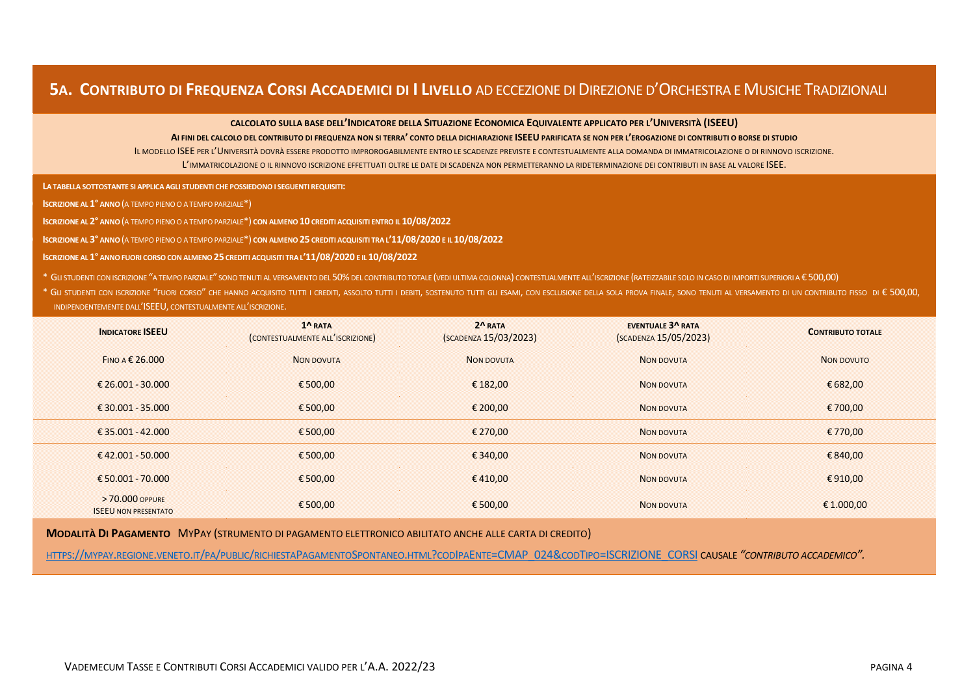## **5A. CONTRIBUTO DI FREQUENZA CORSI ACCADEMICI DI I LIVELLO** AD ECCEZIONE DI DIREZIONE D'ORCHESTRA E MUSICHE TRADIZIONALI

**CALCOLATO SULLA BASE DELL'INDICATORE DELLA SITUAZIONE ECONOMICA EQUIVALENTE APPLICATO PER L'UNIVERSITÀ (ISEEU)**

**AI FINI DEL CALCOLO DEL CONTRIBUTO DI FREQUENZA NON SI TERRA' CONTO DELLA DICHIARAZIONE ISEEU PARIFICATA SE NON PER L'EROGAZIONE DI CONTRIBUTI O BORSE DI STUDIO**

IL MODELLO ISEE PER L'UNIVERSITÀ DOVRÀ ESSERE PRODOTTO IMPROROGABILMENTE ENTRO LE SCADENZE PREVISTE E CONTESTUALMENTE ALLA DOMANDA DI IMMATRICOLAZIONE O DI RINNOVO ISCRIZIONE. L'IMMATRICOLAZIONE O IL RINNOVO ISCRIZIONE EFFETTUATI OLTRE LE DATE DI SCADENZA NON PERMETTERANNO LA RIDETERMINAZIONE DEI CONTRIBUTI IN BASE AL VALORE ISEE.

a) **LA TABELLA SOTTOSTANTE SI APPLICA AGLI STUDENTI CHE POSSIEDONO I SEGUENTI REQUISITI:**

b) **ISCRIZIONE AL 1° ANNO**(A TEMPO PIENO O A TEMPO PARZIALE\*)

c) **ISCRIZIONE AL 2° ANNO**(A TEMPO PIENO O A TEMPO PARZIALE\*) **CON ALMENO 10 CREDITI ACQUISITI ENTRO IL 10/08/2022**

d) **ISCRIZIONE AL 3° ANNO**(A TEMPO PIENO O A TEMPO PARZIALE\*) **CON ALMENO 25 CREDITI ACQUISITI TRA L'11/08/2020 E IL 10/08/2022**

e) **ISCRIZIONE AL 1° ANNO FUORI CORSO CON ALMENO 25 CREDITI ACQUISITI TRA L'11/08/2020 E IL 10/08/2022**

\* GLI STUDENTI CON ISCRIZIONE "A TEMPO PARZIALE" SONO TENUTI AL VERSAMENTO DEL 50%DEL CONTRIBUTO TOTALE (VEDI ULTIMA COLONNA) CONTESTUALMENTE ALL'ISCRIZIONE (RATEIZZABILE SOLO IN CASO DI IMPORTI SUPERIORI A € 500,00)

\* Gu studenti con iscrizione "fuori corso" che hanno acquisito tutti i crediti, assolto tutti i debiti, sostenuto tutti gli esami, con esclusione della sola prova finale, sono tenuti al versamento di un contributo fisso di INDIPENDENTEMENTE DALL'ISEEU, CONTESTUALMENTE ALL'ISCRIZIONE.

| <b>INDICATORE ISEEU</b>                        | $1^{\Lambda}$ RATA<br>(CONTESTUALMENTE ALL'ISCRIZIONE) | $2^R$ RATA<br>(SCADENZA 15/03/2023) | <b>EVENTUALE 3^ RATA</b><br>(SCADENZA 15/05/2023) | <b>CONTRIBUTO TOTALE</b> |
|------------------------------------------------|--------------------------------------------------------|-------------------------------------|---------------------------------------------------|--------------------------|
| FINO A $\epsilon$ 26.000                       | <b>NON DOVUTA</b>                                      | NON DOVUTA                          | <b>NON DOVUTA</b>                                 | NON DOVUTO               |
| € 26.001 - 30.000                              | €500,00                                                | € 182,00                            | <b>NON DOVUTA</b>                                 | € 682,00                 |
| €30.001 - 35.000                               | €500,00                                                | € 200,00                            | <b>NON DOVUTA</b>                                 | € 700,00                 |
| €35.001 - 42.000                               | €500,00                                                | € 270,00                            | <b>NON DOVUTA</b>                                 | € 770,00                 |
| €42.001 - 50.000                               | €500,00                                                | €340,00                             | <b>NON DOVUTA</b>                                 | €840,00                  |
| € 50.001 - 70.000                              | €500,00                                                | €410,00                             | <b>NON DOVUTA</b>                                 | €910,00                  |
| > 70,000 OPPURE<br><b>ISEEU NON PRESENTATO</b> | €500,00                                                | €500,00                             | <b>NON DOVUTA</b>                                 | € 1.000,00               |

**MODALITÀ DI PAGAMENTO** MYPAY (STRUMENTO DI PAGAMENTO ELETTRONICO ABILITATO ANCHE ALLE CARTA DI CREDITO)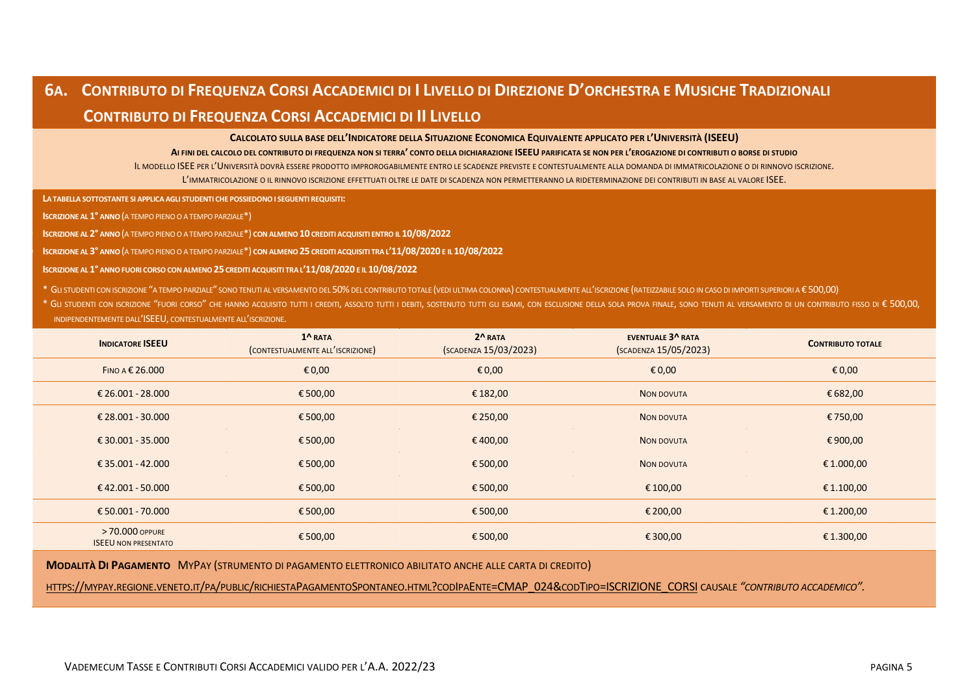# 6A. CONTRIBUTO DI FREQUENZA CORSI ACCADEMICI DI I LIVELLO DI DIREZIONE D'ORCHESTRA E MUSICHE TRADIZIONALI  **CONTRIBUTO DI FREQUENZA CORSI ACCADEMICI DI II LIVELLO**

**CALCOLATO SULLA BASE DELL'INDICATORE DELLA SITUAZIONE ECONOMICA EQUIVALENTE APPLICATO PER L'UNIVERSITÀ (ISEEU)**

**AI FINI DEL CALCOLO DEL CONTRIBUTO DI FREQUENZA NON SI TERRA' CONTO DELLA DICHIARAZIONE ISEEU PARIFICATA SE NON PER L'EROGAZIONE DI CONTRIBUTI O BORSE DI STUDIO**

IL MODELLO ISEE PER L'UNIVERSITÀ DOVRÀ ESSERE PRODOTTO IMPROROGABILMENTE ENTRO LE SCADENZE PREVISTE E CONTESTUALMENTE ALLA DOMANDA DI IMMATRICOLAZIONE O DI RINNOVO ISCRIZIONE. L'IMMATRICOLAZIONE O IL RINNOVO ISCRIZIONE EFFETTUATI OLTRE LE DATE DI SCADENZA NON PERMETTERANNO LA RIDETERMINAZIONE DEI CONTRIBUTI IN BASE AL VALORE ISEE.

**LA TABELLA SOTTOSTANTE SI APPLICA AGLI STUDENTI CHE POSSIEDONO I SEGUENTI REQUISITI:**

f) **ISCRIZIONE AL 1° ANNO**(A TEMPO PIENO O A TEMPO PARZIALE\*)

g) **ISCRIZIONE AL 2° ANNO**(A TEMPO PIENO O A TEMPO PARZIALE\*) **CON ALMENO 10 CREDITI ACQUISITI ENTRO IL 10/08/2022**

h) **ISCRIZIONE AL 3° ANNO**(A TEMPO PIENO O A TEMPO PARZIALE\*) **CON ALMENO 25 CREDITI ACQUISITI TRA L'11/08/2020 E IL 10/08/2022**

i) **ISCRIZIONE AL 1° ANNO FUORI CORSO CON ALMENO25 CREDITI ACQUISITI TRA L'11/08/2020 E IL 10/08/2022**

\* GLI STUDENTI CON ISCRIZIONE "A TEMPO PARZIALE" SONO TENUTI AL VERSAMENTO DEL 50%DEL CONTRIBUTO TOTALE (VEDI ULTIMA COLONNA) CONTESTUALMENTE ALL'ISCRIZIONE (RATEIZZABILE SOLO IN CASO DI IMPORTI SUPERIORI A € 500,00)

\* Gu studenti con iscrizione "fuori corso" che hanno acquisito tutti i crediti, assolto tutti i debiti, sostenuto tutti i debiti, sostenuto tutti i che esclusione della sola prova finale, sono tenuti al versamento di un co INDIPENDENTEMENTE DALL'ISEEU, CONTESTUALMENTE ALL'ISCRIZIONE.

| <b>INDICATORE ISEEU</b>                        | 1 <sup>^</sup> RATA<br>(CONTESTUALMENTE ALL'ISCRIZIONE) | $2^{\wedge}$ RATA<br>(SCADENZA 15/03/2023) | <b>EVENTUALE 3^ RATA</b><br>(SCADENZA 15/05/2023) | <b>CONTRIBUTO TOTALE</b> |
|------------------------------------------------|---------------------------------------------------------|--------------------------------------------|---------------------------------------------------|--------------------------|
| FINO A € 26,000                                | $\epsilon$ 0,00                                         | £0,00                                      | $\epsilon$ 0,00                                   | € 0,00                   |
| € 26.001 - 28.000                              | €500,00                                                 | € 182,00                                   | NON DOVUTA                                        | € 682,00                 |
| $£28.001 - 30.000$                             | €500,00                                                 | € 250,00                                   | NON DOVUTA                                        | €750,00                  |
| €30.001 - 35.000                               | €500,00                                                 | €400,00                                    | <b>NON DOVUTA</b>                                 | €900,00                  |
| €35.001 - 42.000                               | €500,00                                                 | €500,00                                    | NON DOVUTA                                        | € 1.000,00               |
| €42.001 - 50.000                               | €500,00                                                 | €500,00                                    | € 100,00                                          | € 1.100,00               |
| € 50.001 - 70.000                              | €500,00                                                 | €500,00                                    | € 200,00                                          | € 1.200,00               |
| > 70,000 OPPURE<br><b>ISEEU NON PRESENTATO</b> | €500,00                                                 | €500,00                                    | € 300,00                                          | € 1.300,00               |

**MODALITÀ DI PAGAMENTO** MYPAY (STRUMENTO DI PAGAMENTO ELETTRONICO ABILITATO ANCHE ALLE CARTA DI CREDITO)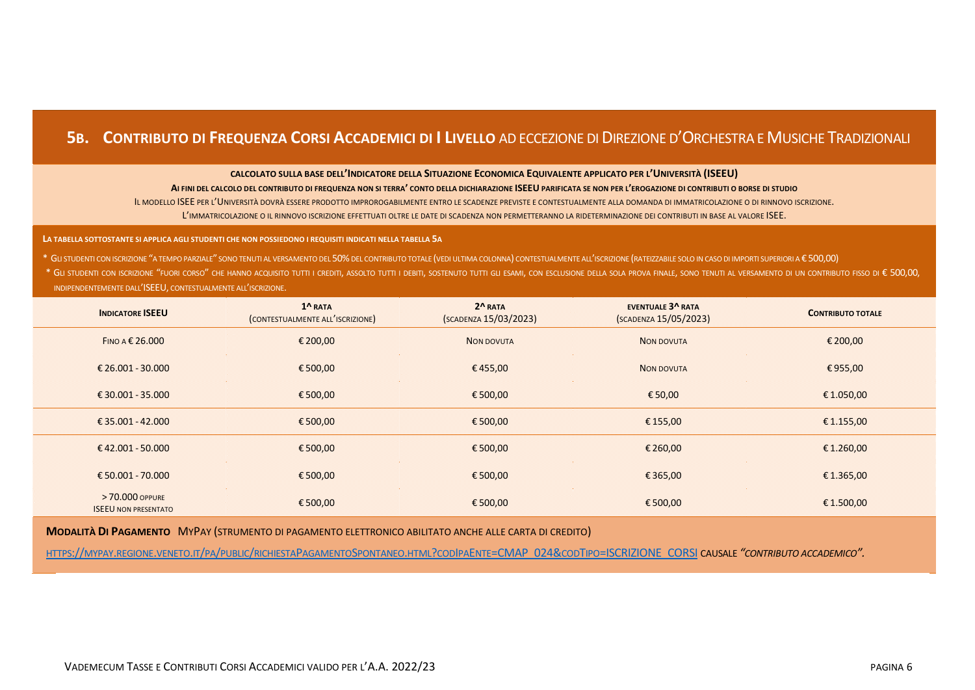## **5B. CONTRIBUTO DI FREQUENZA CORSI ACCADEMICI DI I LIVELLO** AD ECCEZIONE DI DIREZIONE D'ORCHESTRA E MUSICHE TRADIZIONALI

#### **CALCOLATO SULLA BASE DELL'INDICATORE DELLA SITUAZIONE ECONOMICA EQUIVALENTE APPLICATO PER L'UNIVERSITÀ (ISEEU)**

#### **AI FINI DEL CALCOLO DEL CONTRIBUTO DI FREQUENZA NON SI TERRA' CONTO DELLA DICHIARAZIONE ISEEU PARIFICATA SE NON PER L'EROGAZIONE DI CONTRIBUTI O BORSE DI STUDIO**

IL MODELLO ISEE PER L'UNIVERSITÀ DOVRÀ ESSERE PRODOTTO IMPROROGABILMENTE ENTRO LE SCADENZE PREVISTE E CONTESTUALMENTE ALLA DOMANDA DI IMMATRICOLAZIONE O DI RINNOVO ISCRIZIONE. L'IMMATRICOLAZIONE O IL RINNOVO ISCRIZIONE EFFETTUATI OLTRE LE DATE DI SCADENZA NON PERMETTERANNO LA RIDETERMINAZIONE DEI CONTRIBUTI IN BASE AL VALORE ISEE.

#### **LA TABELLA SOTTOSTANTE SI APPLICA AGLI STUDENTI CHE NON POSSIEDONO I REQUISITI INDICATI NELLA TABELLA 5A**

\* GLI STUDENTI CON ISCRIZIONE "A TEMPO PARZIALE" SONO TENUTI AL VERSAMENTO DEL 50%DEL CONTRIBUTO TOTALE (VEDI ULTIMA COLONNA) CONTESTUALMENTE ALL'ISCRIZIONE (RATEIZZABILE SOLO IN CASO DI IMPORTI SUPERIORI A € 500,00)

\* GLI STUDENTI CON ISCRIZIONE "FUORI CORSO" CHE HANNO ACQUISITO TUTTI I CREDITI, ASSOLTO TUTTI I DEBITI, SOSTENUTO TUTTI GLI ESAMI, CON ESCLUSIONE DELLA SOLA PROVA FINALE, SONO TENUTI AL VERSAMENTO DI UN CONTRIBUTO FISSO D INDIPENDENTEMENTE DALL'ISEEU, CONTESTUALMENTE ALL'ISCRIZIONE.

| <b>INDICATORE ISEEU</b>                        | $1^{\Lambda}$ RATA<br>(CONTESTUALMENTE ALL'ISCRIZIONE) | $2^{\Lambda}$ RATA<br>(SCADENZA 15/03/2023) | <b>EVENTUALE 3^ RATA</b><br>(SCADENZA 15/05/2023) | <b>CONTRIBUTO TOTALE</b> |
|------------------------------------------------|--------------------------------------------------------|---------------------------------------------|---------------------------------------------------|--------------------------|
| FINO A € 26,000                                | € 200,00                                               | <b>NON DOVUTA</b>                           | <b>NON DOVUTA</b>                                 | € 200,00                 |
| € 26.001 - 30.000                              | €500,00                                                | €455,00                                     | <b>NON DOVUTA</b>                                 | €955,00                  |
| € 30.001 - 35.000                              | €500,00                                                | €500,00                                     | € 50,00                                           | € 1.050,00               |
| €35.001 - 42.000                               | €500,00                                                | €500,00                                     | € 155,00                                          | € 1.155,00               |
| €42.001 - 50.000                               | €500,00                                                | €500,00                                     | € 260,00                                          | € 1.260,00               |
| €50.001 - 70.000                               | €500,00                                                | €500,00                                     | €365,00                                           | € 1.365,00               |
| > 70.000 OPPURE<br><b>ISEEU NON PRESENTATO</b> | €500,00                                                | €500,00                                     | €500,00                                           | €1.500,00                |

**MODALITÀ DI PAGAMENTO** MYPAY (STRUMENTO DI PAGAMENTO ELETTRONICO ABILITATO ANCHE ALLE CARTA DI CREDITO)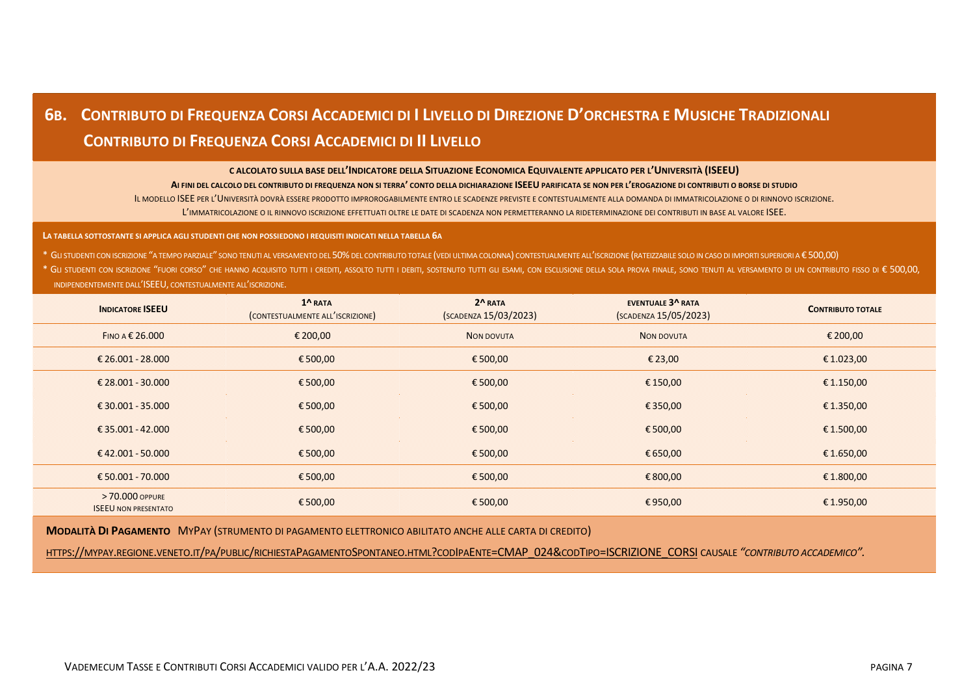# 6B. CONTRIBUTO DI FREQUENZA CORSI ACCADEMICI DI I LIVELLO DI DIREZIONE D'ORCHESTRA E MUSICHE TRADIZIONALI  **CONTRIBUTO DI FREQUENZA CORSI ACCADEMICI DI II LIVELLO**

**C ALCOLATO SULLA BASE DELL'INDICATORE DELLA SITUAZIONE ECONOMICA EQUIVALENTE APPLICATO PER L'UNIVERSITÀ (ISEEU)**

**AI FINI DEL CALCOLO DEL CONTRIBUTO DI FREQUENZA NON SI TERRA' CONTO DELLA DICHIARAZIONE ISEEU PARIFICATA SE NON PER L'EROGAZIONE DI CONTRIBUTI O BORSE DI STUDIO** IL MODELLO ISEE PER L'UNIVERSITÀ DOVRÀ ESSERE PRODOTTO IMPROROGABILMENTE ENTRO LE SCADENZE PREVISTE E CONTESTUALMENTE ALLA DOMANDA DI IMMATRICOLAZIONE O DI RINNOVO ISCRIZIONE. L'IMMATRICOLAZIONE O IL RINNOVO ISCRIZIONE EFFETTUATI OLTRE LE DATE DI SCADENZA NON PERMETTERANNO LA RIDETERMINAZIONE DEI CONTRIBUTI IN BASE AL VALORE ISEE.

**LA TABELLA SOTTOSTANTE SI APPLICA AGLI STUDENTI CHE NON POSSIEDONO I REQUISITI INDICATI NELLA TABELLA 6A**

\* GLI STUDENTI CON ISCRIZIONE "A TEMPO PARZIALE" SONO TENUTI AL VERSAMENTO DEL 50%DEL CONTRIBUTO TOTALE (VEDI ULTIMA COLONNA) CONTESTUALMENTE ALL'ISCRIZIONE (RATEIZZABILE SOLO IN CASO DI IMPORTI SUPERIORI A € 500,00)

\* Gu studenti con iscrizione "fuori corso" che hanno acquisito tutti i crediti, assolto tutti i debiti, sostenuto tutti i debiti, sostenuto tutti i che esclusione della sola prova finale, sono tenuti al versamento di un co INDIPENDENTEMENTE DALL'ISEEU, CONTESTUALMENTE ALL'ISCRIZIONE.

| <b>INDICATORE ISEEU</b>                        | 1^ RATA<br>(CONTESTUALMENTE ALL'ISCRIZIONE) | 2^RATA<br>(SCADENZA 15/03/2023) | <b>EVENTUALE 3^ RATA</b><br>(SCADENZA 15/05/2023) | <b>CONTRIBUTO TOTALE</b> |
|------------------------------------------------|---------------------------------------------|---------------------------------|---------------------------------------------------|--------------------------|
| FINO A $\epsilon$ 26.000                       | € 200,00                                    | <b>NON DOVUTA</b>               | <b>NON DOVUTA</b>                                 | € 200,00                 |
| € 26.001 - 28.000                              | €500,00                                     | €500,00                         | € 23,00                                           | € 1.023,00               |
| € 28.001 - 30.000                              | €500,00                                     | €500,00                         | € 150,00                                          | € 1.150,00               |
| €30.001 - 35.000                               | €500,00                                     | €500,00                         | € 350,00                                          | € 1.350,00               |
| € 35.001 - 42.000                              | €500,00                                     | €500,00                         | €500,00                                           | € 1.500,00               |
| €42.001 - 50.000                               | €500,00                                     | €500,00                         | € 650,00                                          | € 1.650,00               |
| €50.001 - 70.000                               | €500,00                                     | €500,00                         | €800,00                                           | € 1.800,00               |
| > 70,000 OPPURE<br><b>ISEEU NON PRESENTATO</b> | €500,00                                     | €500,00                         | €950,00                                           | €1.950,00                |

**MODALITÀ DI PAGAMENTO** MYPAY (STRUMENTO DI PAGAMENTO ELETTRONICO ABILITATO ANCHE ALLE CARTA DI CREDITO)